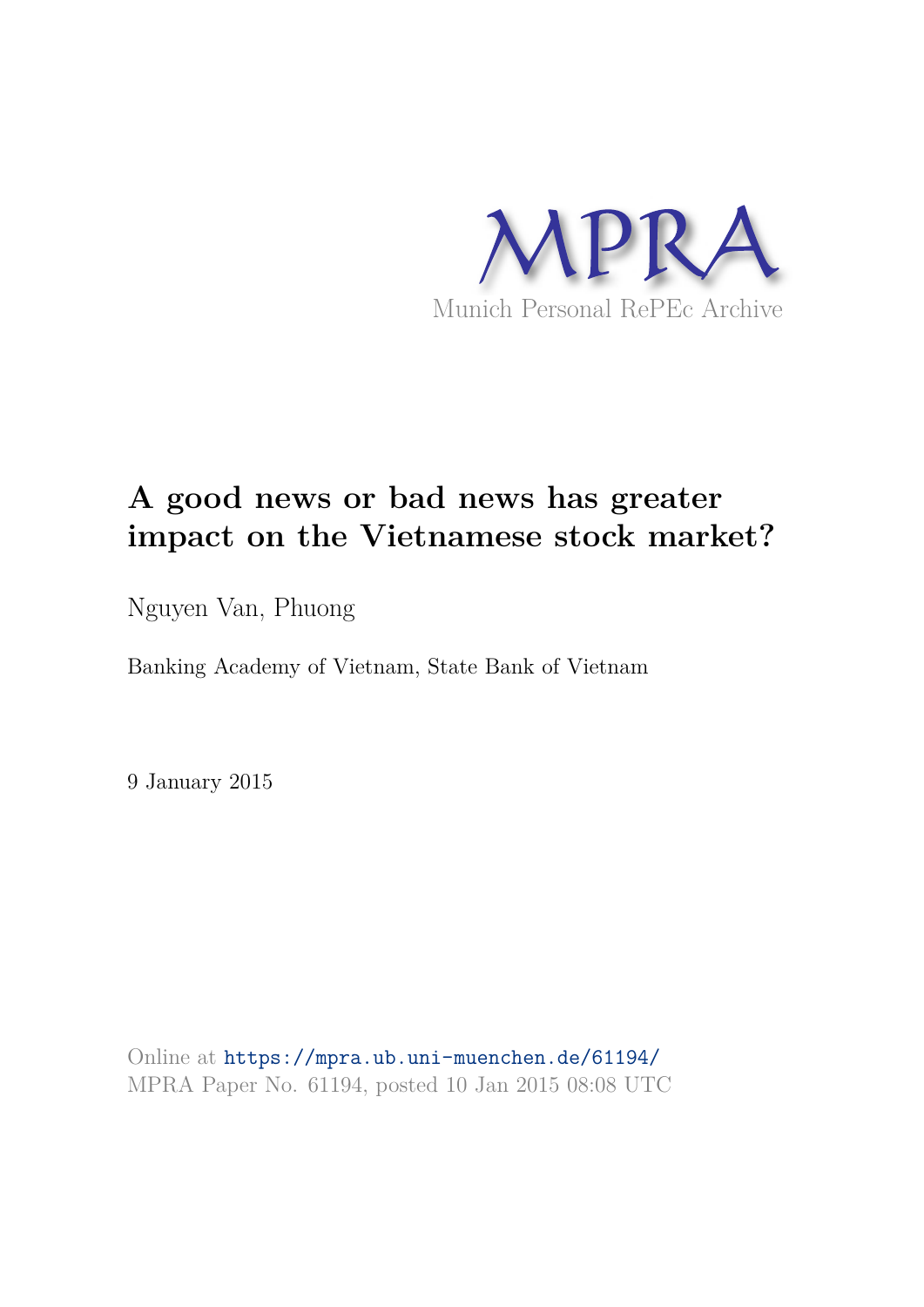

# **A good news or bad news has greater impact on the Vietnamese stock market?**

Nguyen Van, Phuong

Banking Academy of Vietnam, State Bank of Vietnam

9 January 2015

Online at https://mpra.ub.uni-muenchen.de/61194/ MPRA Paper No. 61194, posted 10 Jan 2015 08:08 UTC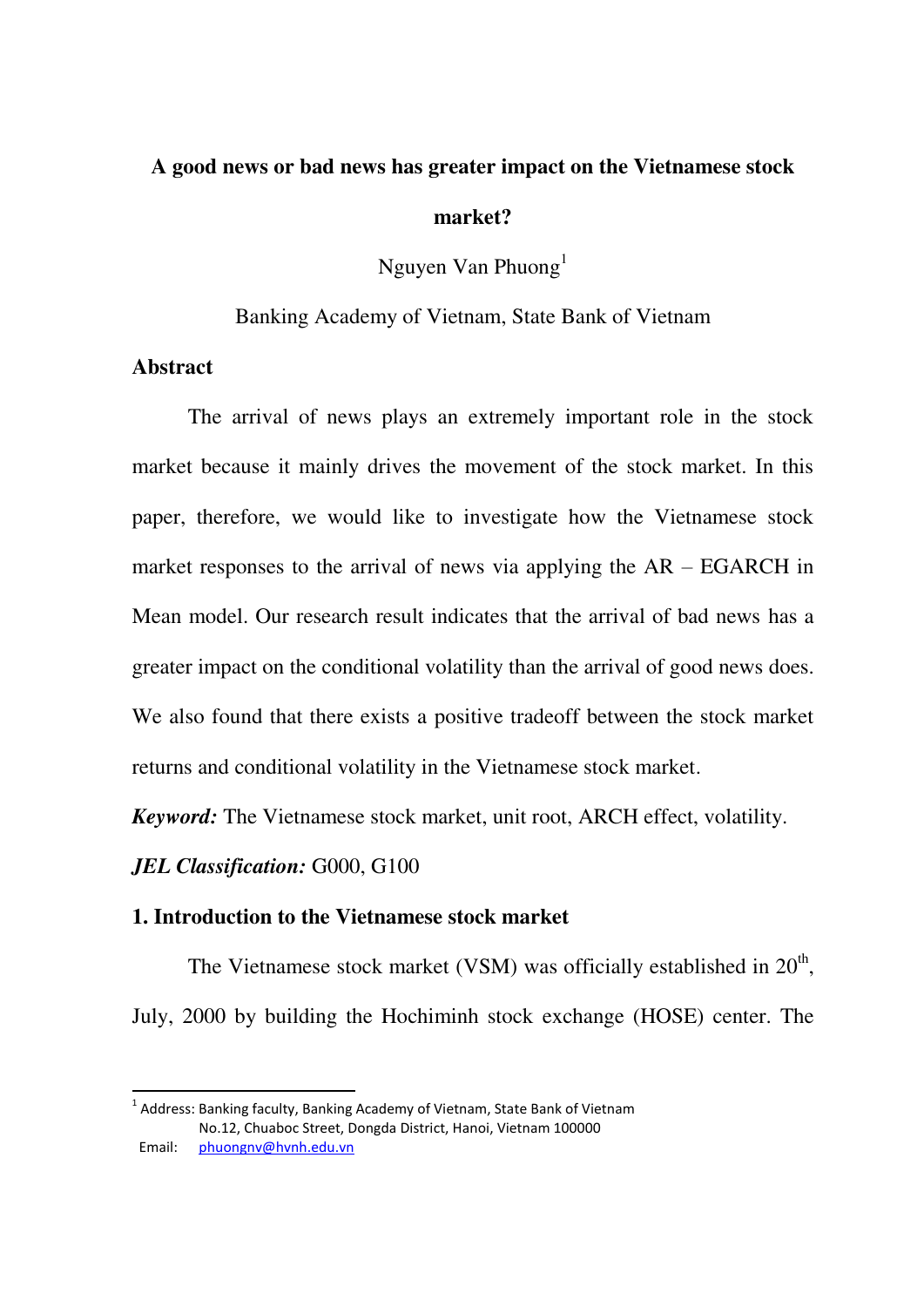# **A good news or bad news has greater impact on the Vietnamese stock market?**

Nguyen Van Phuong<sup>1</sup>

Banking Academy of Vietnam, State Bank of Vietnam

## **Abstract**

-

 The arrival of news plays an extremely important role in the stock market because it mainly drives the movement of the stock market. In this paper, therefore, we would like to investigate how the Vietnamese stock market responses to the arrival of news via applying the AR – EGARCH in Mean model. Our research result indicates that the arrival of bad news has a greater impact on the conditional volatility than the arrival of good news does. We also found that there exists a positive tradeoff between the stock market returns and conditional volatility in the Vietnamese stock market.

*Keyword:* The Vietnamese stock market, unit root, ARCH effect, volatility.

*JEL Classification:* G000, G100

### **1. Introduction to the Vietnamese stock market**

The Vietnamese stock market (VSM) was officially established in  $20<sup>th</sup>$ , July, 2000 by building the Hochiminh stock exchange (HOSE) center. The

 $^1$  Address: Banking faculty, Banking Academy of Vietnam, State Bank of Vietnam No.12, Chuaboc Street, Dongda District, Hanoi, Vietnam 100000 Email: [phuongnv@hvnh.edu.vn](mailto:phuongnv@hvnh.edu.vn)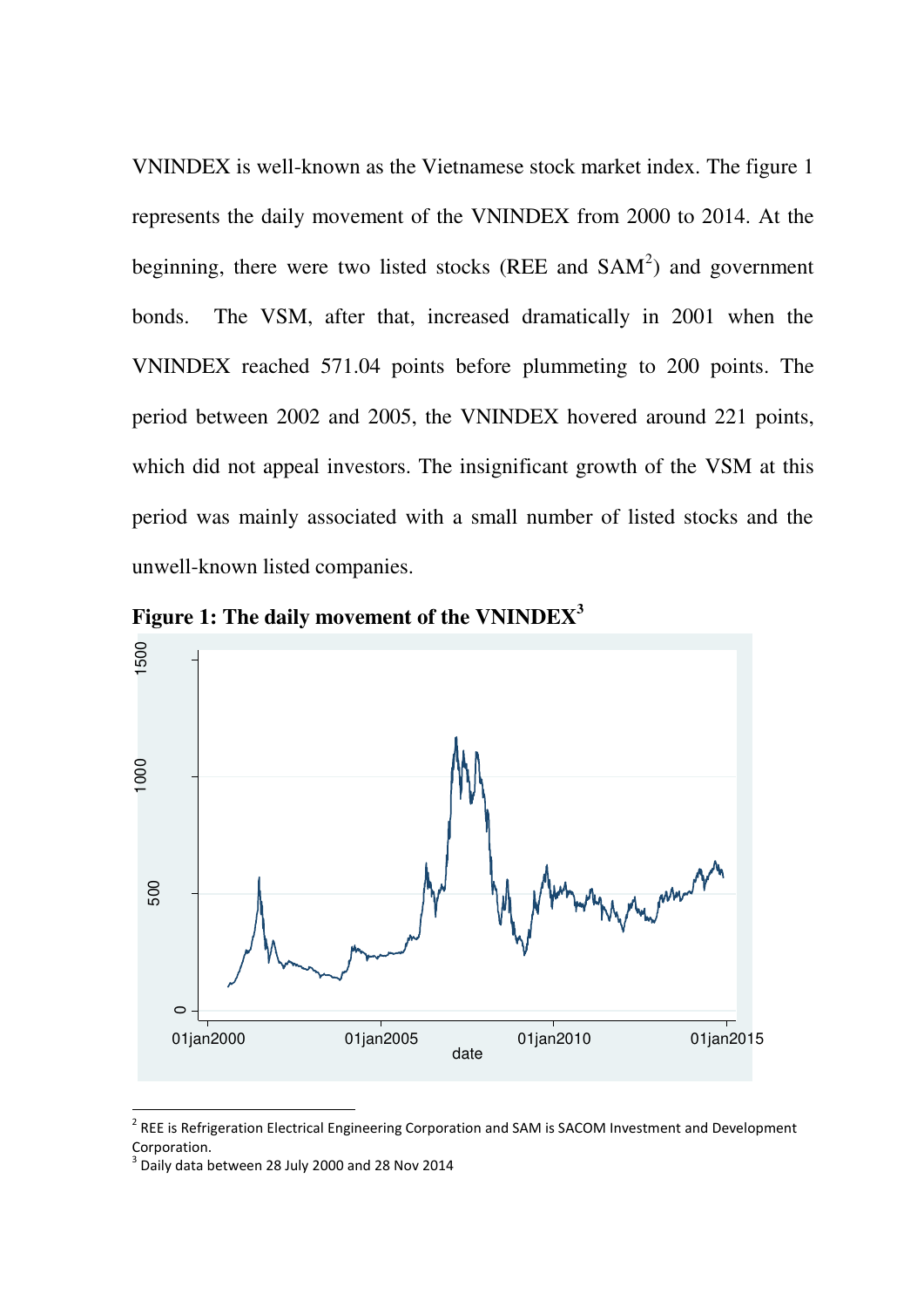VNINDEX is well-known as the Vietnamese stock market index. The figure 1 represents the daily movement of the VNINDEX from 2000 to 2014. At the beginning, there were two listed stocks (REE and  $SAM<sup>2</sup>$ ) and government bonds. The VSM, after that, increased dramatically in 2001 when the VNINDEX reached 571.04 points before plummeting to 200 points. The period between 2002 and 2005, the VNINDEX hovered around 221 points, which did not appeal investors. The insignificant growth of the VSM at this period was mainly associated with a small number of listed stocks and the unwell-known listed companies.



**Figure 1: The daily movement of the VNINDEX<sup>3</sup>**

<sup>&</sup>lt;sup>2</sup> REE is Refrigeration Electrical Engineering Corporation and SAM is SACOM Investment and Development Corporation.

 $3$  Daily data between 28 July 2000 and 28 Nov 2014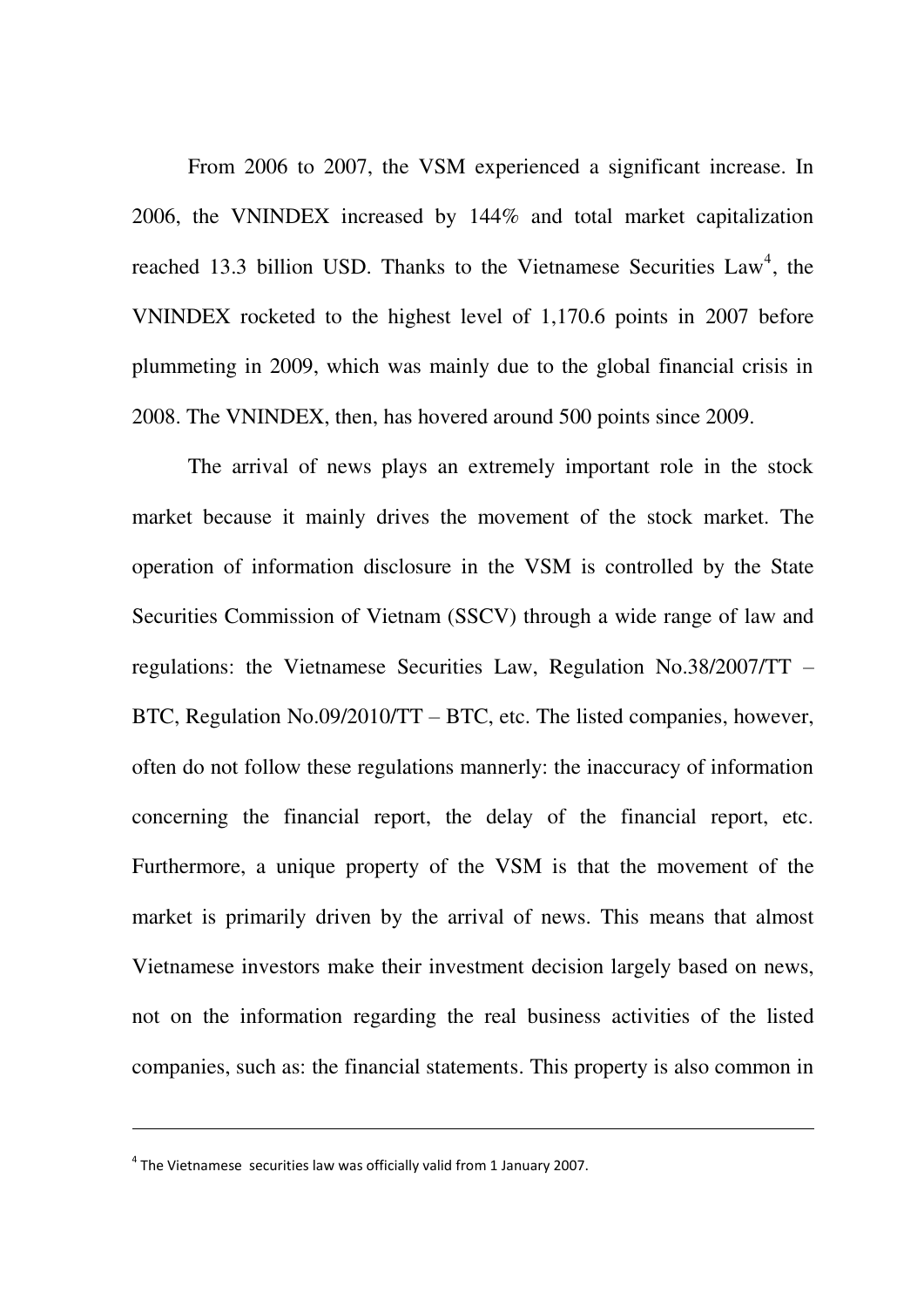From 2006 to 2007, the VSM experienced a significant increase. In 2006, the VNINDEX increased by 144% and total market capitalization reached 13.3 billion USD. Thanks to the Vietnamese Securities  $Law<sup>4</sup>$ , the VNINDEX rocketed to the highest level of 1,170.6 points in 2007 before plummeting in 2009, which was mainly due to the global financial crisis in 2008. The VNINDEX, then, has hovered around 500 points since 2009.

 The arrival of news plays an extremely important role in the stock market because it mainly drives the movement of the stock market. The operation of information disclosure in the VSM is controlled by the State Securities Commission of Vietnam (SSCV) through a wide range of law and regulations: the Vietnamese Securities Law, Regulation No.38/2007/TT – BTC, Regulation No.09/2010/TT – BTC, etc. The listed companies, however, often do not follow these regulations mannerly: the inaccuracy of information concerning the financial report, the delay of the financial report, etc. Furthermore, a unique property of the VSM is that the movement of the market is primarily driven by the arrival of news. This means that almost Vietnamese investors make their investment decision largely based on news, not on the information regarding the real business activities of the listed companies, such as: the financial statements. This property is also common in

 $<sup>4</sup>$  The Vietnamese securities law was officially valid from 1 January 2007.</sup>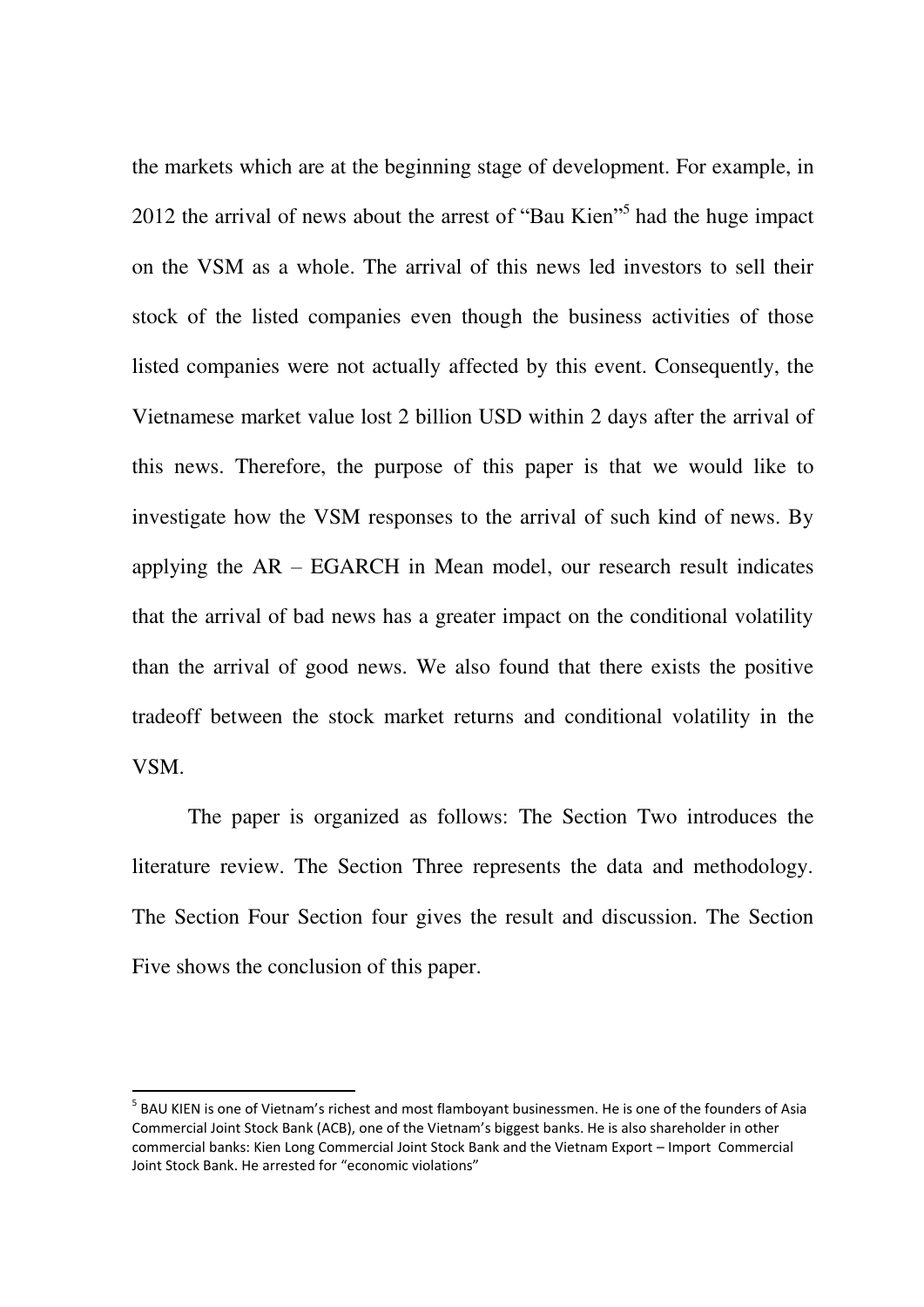the markets which are at the beginning stage of development. For example, in 2012 the arrival of news about the arrest of "Bau Kien"<sup>5</sup> had the huge impact on the VSM as a whole. The arrival of this news led investors to sell their stock of the listed companies even though the business activities of those listed companies were not actually affected by this event. Consequently, the Vietnamese market value lost 2 billion USD within 2 days after the arrival of this news. Therefore, the purpose of this paper is that we would like to investigate how the VSM responses to the arrival of such kind of news. By applying the AR – EGARCH in Mean model, our research result indicates that the arrival of bad news has a greater impact on the conditional volatility than the arrival of good news. We also found that there exists the positive tradeoff between the stock market returns and conditional volatility in the VSM.

The paper is organized as follows: The Section Two introduces the literature review. The Section Three represents the data and methodology. The Section Four Section four gives the result and discussion. The Section Five shows the conclusion of this paper.

<sup>&</sup>lt;sup>5</sup> BAU KIEN is one of Vietnam's richest and most flamboyant businessmen. He is one of the founders of Asia Commercial Joint Stock Bank (ACB), one of the Vietnam's biggest banks. He is also shareholder in other commercial banks: Kien Long Commercial Joint Stock Bank and the Vietnam Export – Import Commercial Joint Stock Bank. He arrested for "economic violations"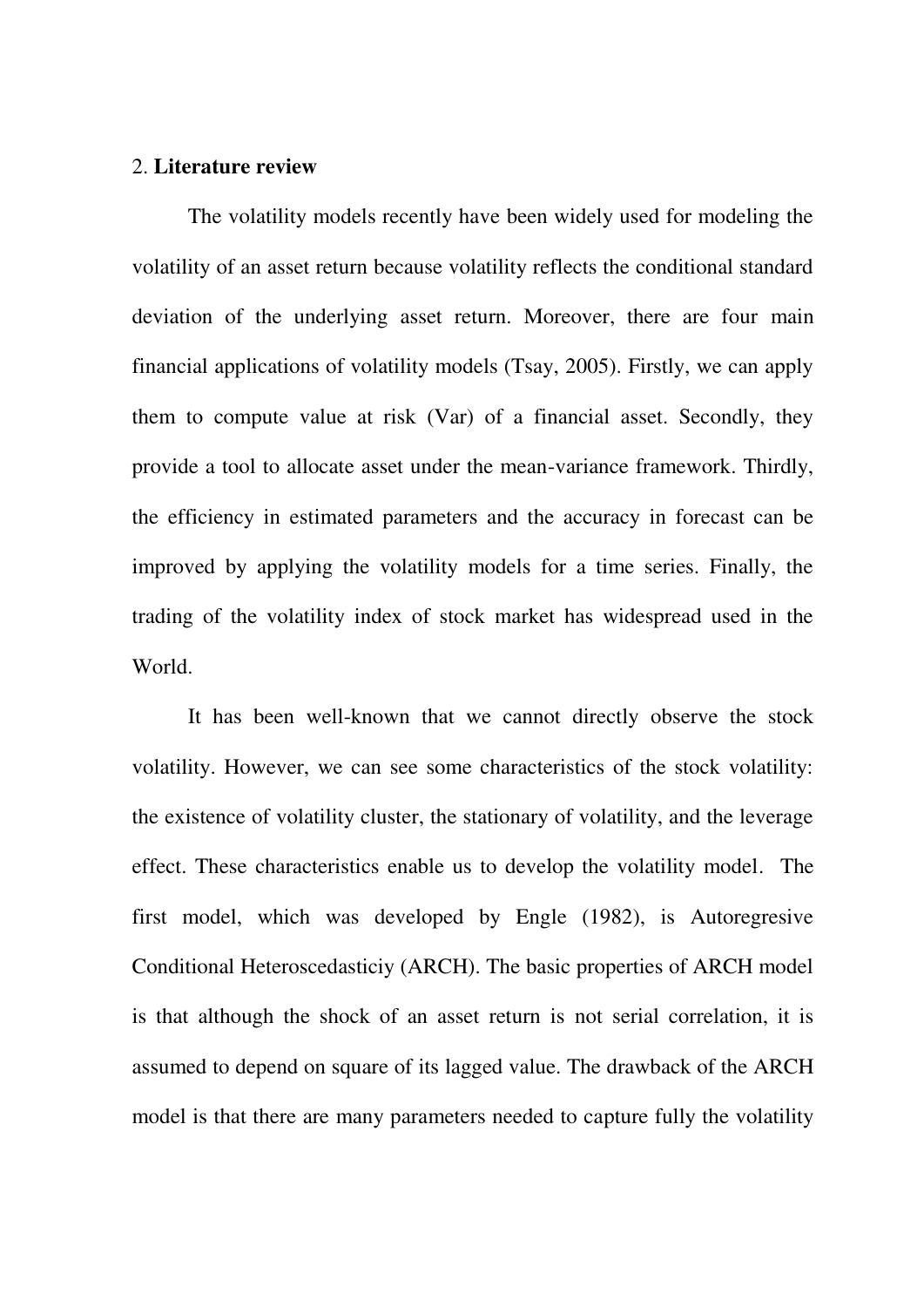#### 2. **Literature review**

 The volatility models recently have been widely used for modeling the volatility of an asset return because volatility reflects the conditional standard deviation of the underlying asset return. Moreover, there are four main financial applications of volatility models (Tsay, 2005). Firstly, we can apply them to compute value at risk (Var) of a financial asset. Secondly, they provide a tool to allocate asset under the mean-variance framework. Thirdly, the efficiency in estimated parameters and the accuracy in forecast can be improved by applying the volatility models for a time series. Finally, the trading of the volatility index of stock market has widespread used in the World.

 It has been well-known that we cannot directly observe the stock volatility. However, we can see some characteristics of the stock volatility: the existence of volatility cluster, the stationary of volatility, and the leverage effect. These characteristics enable us to develop the volatility model. The first model, which was developed by Engle (1982), is Autoregresive Conditional Heteroscedasticiy (ARCH). The basic properties of ARCH model is that although the shock of an asset return is not serial correlation, it is assumed to depend on square of its lagged value. The drawback of the ARCH model is that there are many parameters needed to capture fully the volatility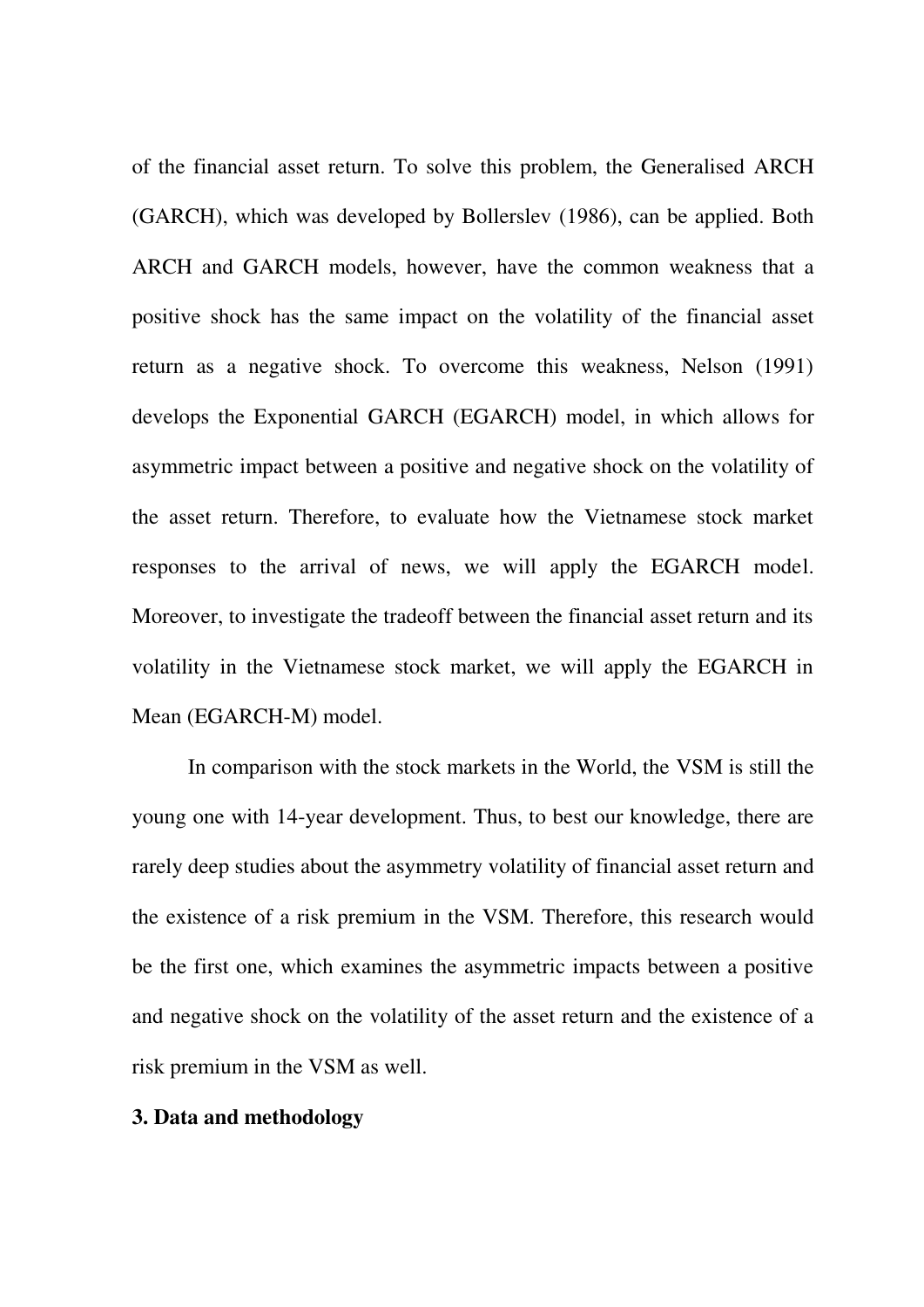of the financial asset return. To solve this problem, the Generalised ARCH (GARCH), which was developed by Bollerslev (1986), can be applied. Both ARCH and GARCH models, however, have the common weakness that a positive shock has the same impact on the volatility of the financial asset return as a negative shock. To overcome this weakness, Nelson (1991) develops the Exponential GARCH (EGARCH) model, in which allows for asymmetric impact between a positive and negative shock on the volatility of the asset return. Therefore, to evaluate how the Vietnamese stock market responses to the arrival of news, we will apply the EGARCH model. Moreover, to investigate the tradeoff between the financial asset return and its volatility in the Vietnamese stock market, we will apply the EGARCH in Mean (EGARCH-M) model.

 In comparison with the stock markets in the World, the VSM is still the young one with 14-year development. Thus, to best our knowledge, there are rarely deep studies about the asymmetry volatility of financial asset return and the existence of a risk premium in the VSM. Therefore, this research would be the first one, which examines the asymmetric impacts between a positive and negative shock on the volatility of the asset return and the existence of a risk premium in the VSM as well.

#### **3. Data and methodology**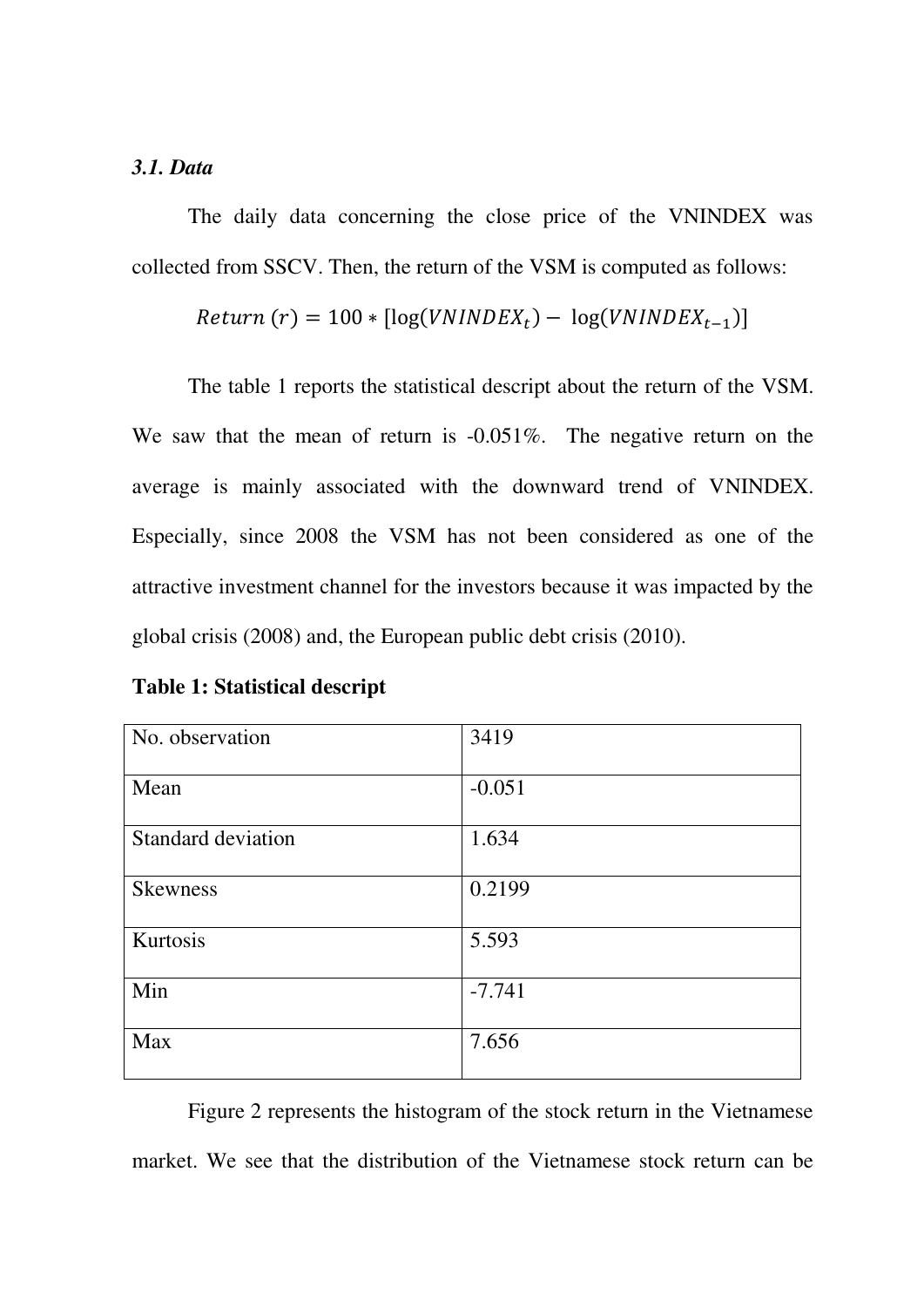#### *3.1. Data*

The daily data concerning the close price of the VNINDEX was collected from SSCV. Then, the return of the VSM is computed as follows:

$$
Return(r) = 100 * [log(VNINDER_t) - log(VNINDER_{t-1})]
$$

The table 1 reports the statistical descript about the return of the VSM. We saw that the mean of return is  $-0.051\%$ . The negative return on the average is mainly associated with the downward trend of VNINDEX. Especially, since 2008 the VSM has not been considered as one of the attractive investment channel for the investors because it was impacted by the global crisis (2008) and, the European public debt crisis (2010).

| No. observation    | 3419     |
|--------------------|----------|
| Mean               | $-0.051$ |
| Standard deviation | 1.634    |
| <b>Skewness</b>    | 0.2199   |
| Kurtosis           | 5.593    |
| Min                | $-7.741$ |
| Max                | 7.656    |

**Table 1: Statistical descript** 

Figure 2 represents the histogram of the stock return in the Vietnamese market. We see that the distribution of the Vietnamese stock return can be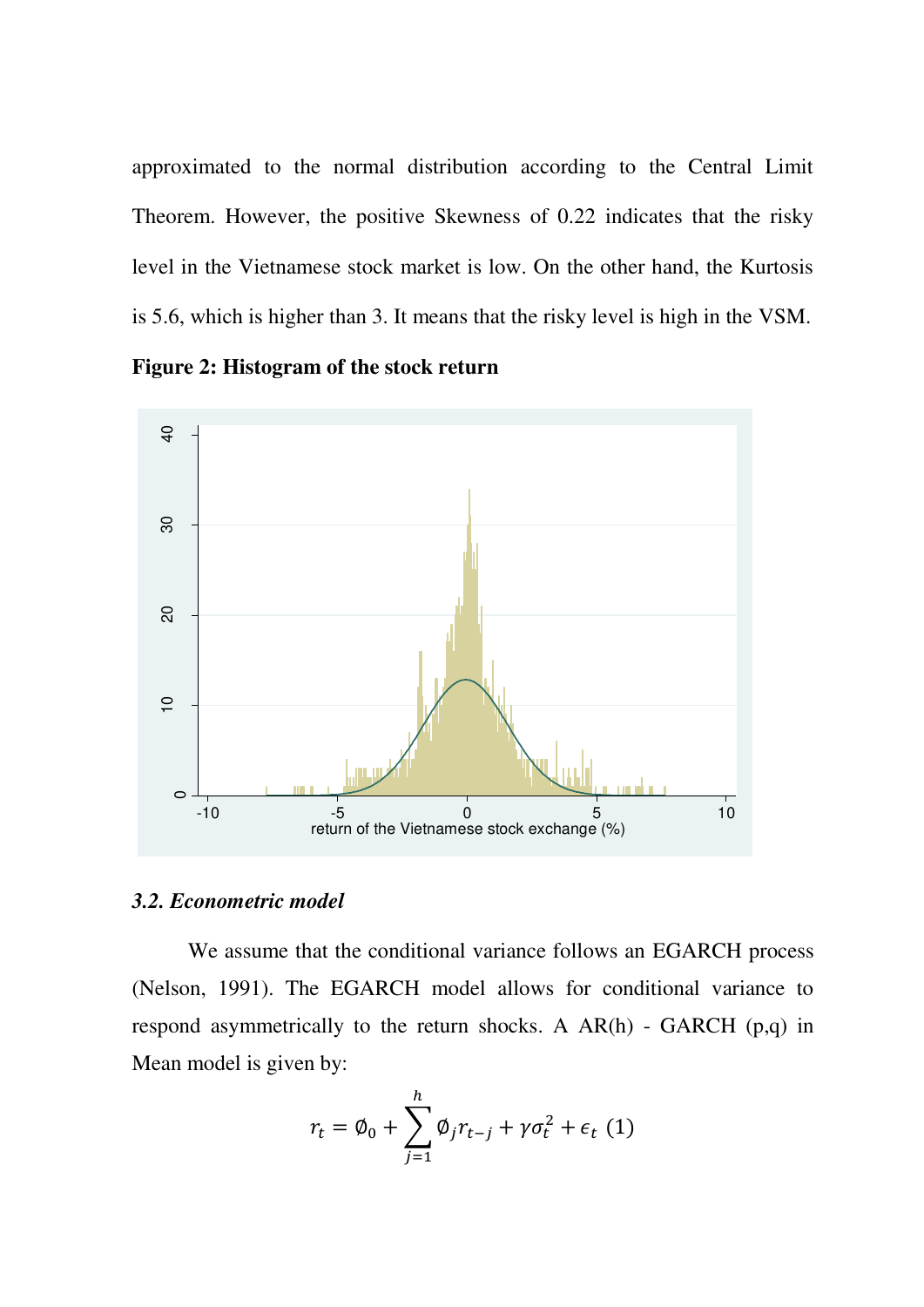approximated to the normal distribution according to the Central Limit Theorem. However, the positive Skewness of 0.22 indicates that the risky level in the Vietnamese stock market is low. On the other hand, the Kurtosis is 5.6, which is higher than 3. It means that the risky level is high in the VSM.





## *3.2. Econometric model*

We assume that the conditional variance follows an EGARCH process (Nelson, 1991). The EGARCH model allows for conditional variance to respond asymmetrically to the return shocks. A  $AR(h)$  - GARCH (p,q) in Mean model is given by:

$$
r_t = \emptyset_0 + \sum_{j=1}^h \emptyset_j r_{t-j} + \gamma \sigma_t^2 + \epsilon_t \tag{1}
$$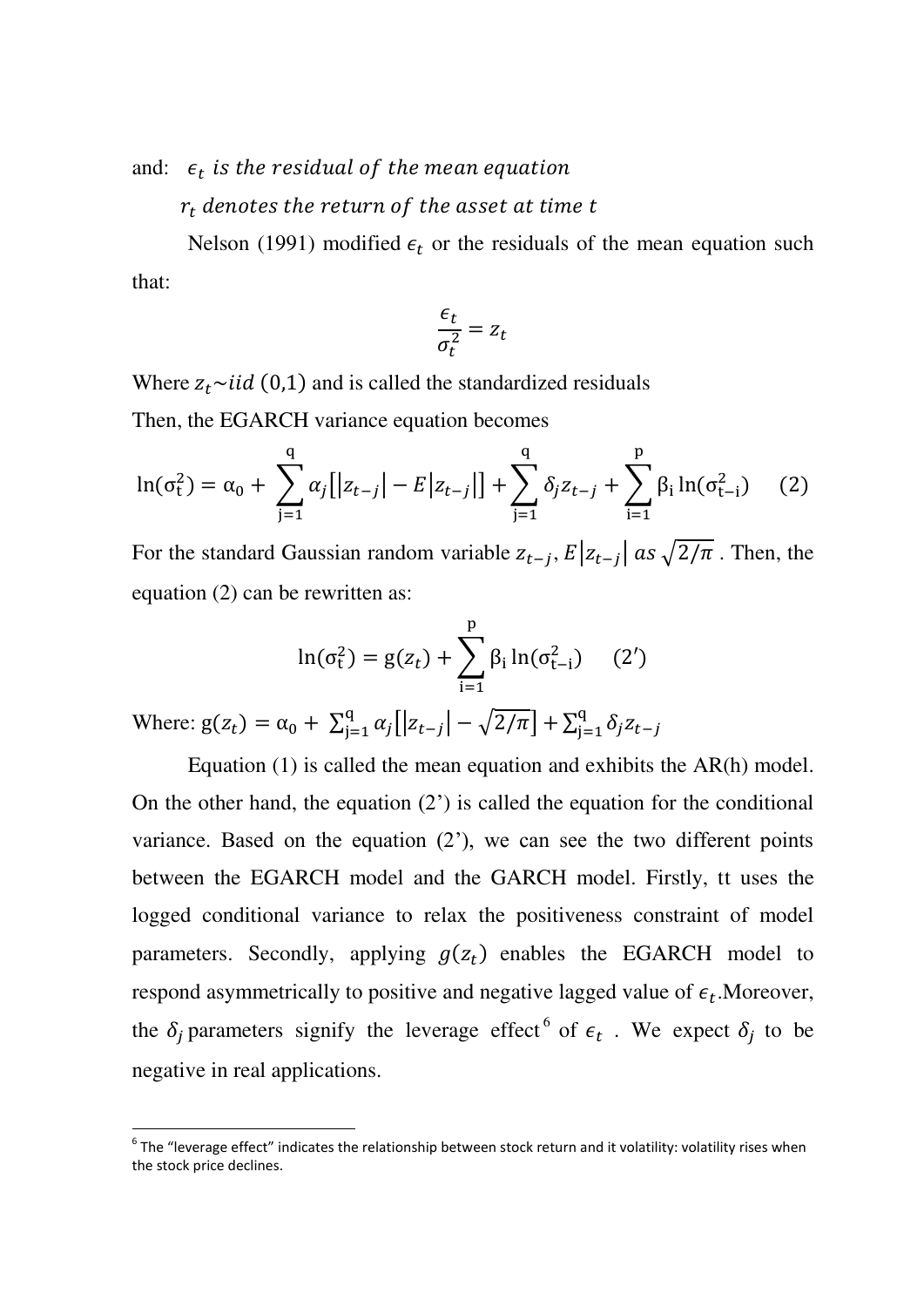and:  $\epsilon_t$  is the residual of the mean equation

 $r_t$  denotes the return of the asset at time t

Nelson (1991) modified  $\epsilon_t$  or the residuals of the mean equation such that:

$$
\frac{\epsilon_t}{\sigma_t^2} = z_t
$$

Where  $z_t \sim$ iid (0,1) and is called the standardized residuals Then, the EGARCH variance equation becomes

$$
\ln(\sigma_t^2) = \alpha_0 + \sum_{j=1}^q \alpha_j \left[ |z_{t-j}| - E |z_{t-j}| \right] + \sum_{j=1}^q \delta_j z_{t-j} + \sum_{i=1}^p \beta_i \ln(\sigma_{t-i}^2) \tag{2}
$$

For the standard Gaussian random variable  $z_{t-j}$ ,  $E|z_{t-j}|$  as  $\sqrt{2/\pi}$ . Then, the equation (2) can be rewritten as:

$$
\ln(\sigma_t^2) = g(z_t) + \sum_{i=1}^p \beta_i \ln(\sigma_{t-i}^2) \quad (2')
$$

Where:  $g(z_t) = \alpha_0 + \sum_{j=1}^{q} \alpha_j [ |z_{t-j}| - \sqrt{2/\pi} ] + \sum_{j=1}^{q} \delta_j$ j

Equation (1) is called the mean equation and exhibits the AR(h) model. On the other hand, the equation  $(2')$  is called the equation for the conditional variance. Based on the equation  $(2^{\prime})$ , we can see the two different points between the EGARCH model and the GARCH model. Firstly, tt uses the logged conditional variance to relax the positiveness constraint of model parameters. Secondly, applying  $g(z_t)$  enables the EGARCH model to respond asymmetrically to positive and negative lagged value of  $\epsilon_t$ . Moreover, the  $\delta_i$  parameters signify the leverage effect <sup>6</sup> of  $\epsilon_t$ . We expect  $\delta_i$  to be negative in real applications.

 $^6$  The "leverage effect" indicates the relationship between stock return and it volatility: volatility rises when the stock price declines.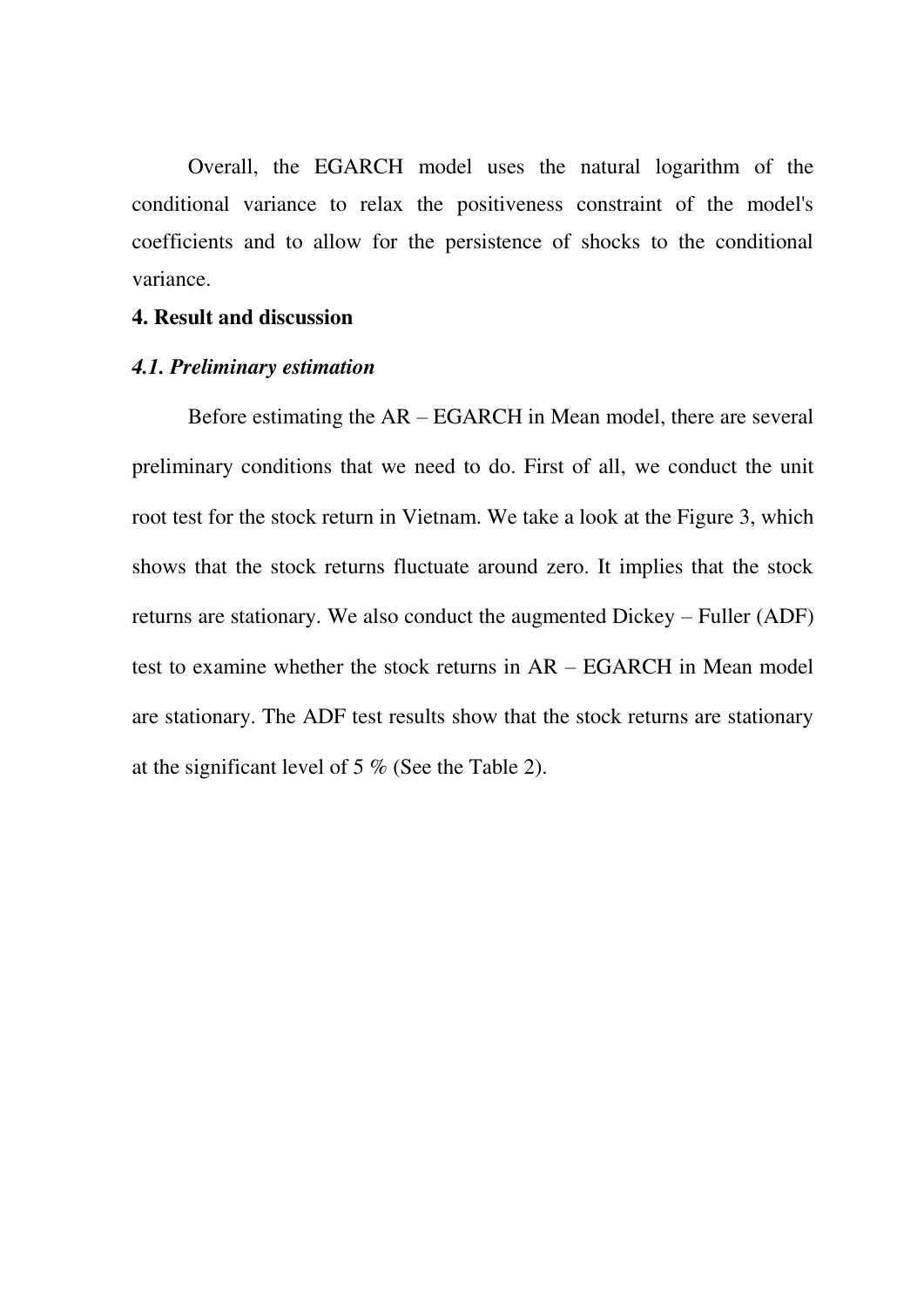Overall, the EGARCH model uses the natural logarithm of the conditional variance to relax the positiveness constraint of the model's coefficients and to allow for the persistence of shocks to the conditional variance.

#### **4. Result and discussion**

#### *4.1. Preliminary estimation*

Before estimating the AR – EGARCH in Mean model, there are several preliminary conditions that we need to do. First of all, we conduct the unit root test for the stock return in Vietnam. We take a look at the Figure 3, which shows that the stock returns fluctuate around zero. It implies that the stock returns are stationary. We also conduct the augmented Dickey – Fuller (ADF) test to examine whether the stock returns in AR – EGARCH in Mean model are stationary. The ADF test results show that the stock returns are stationary at the significant level of 5 % (See the Table 2).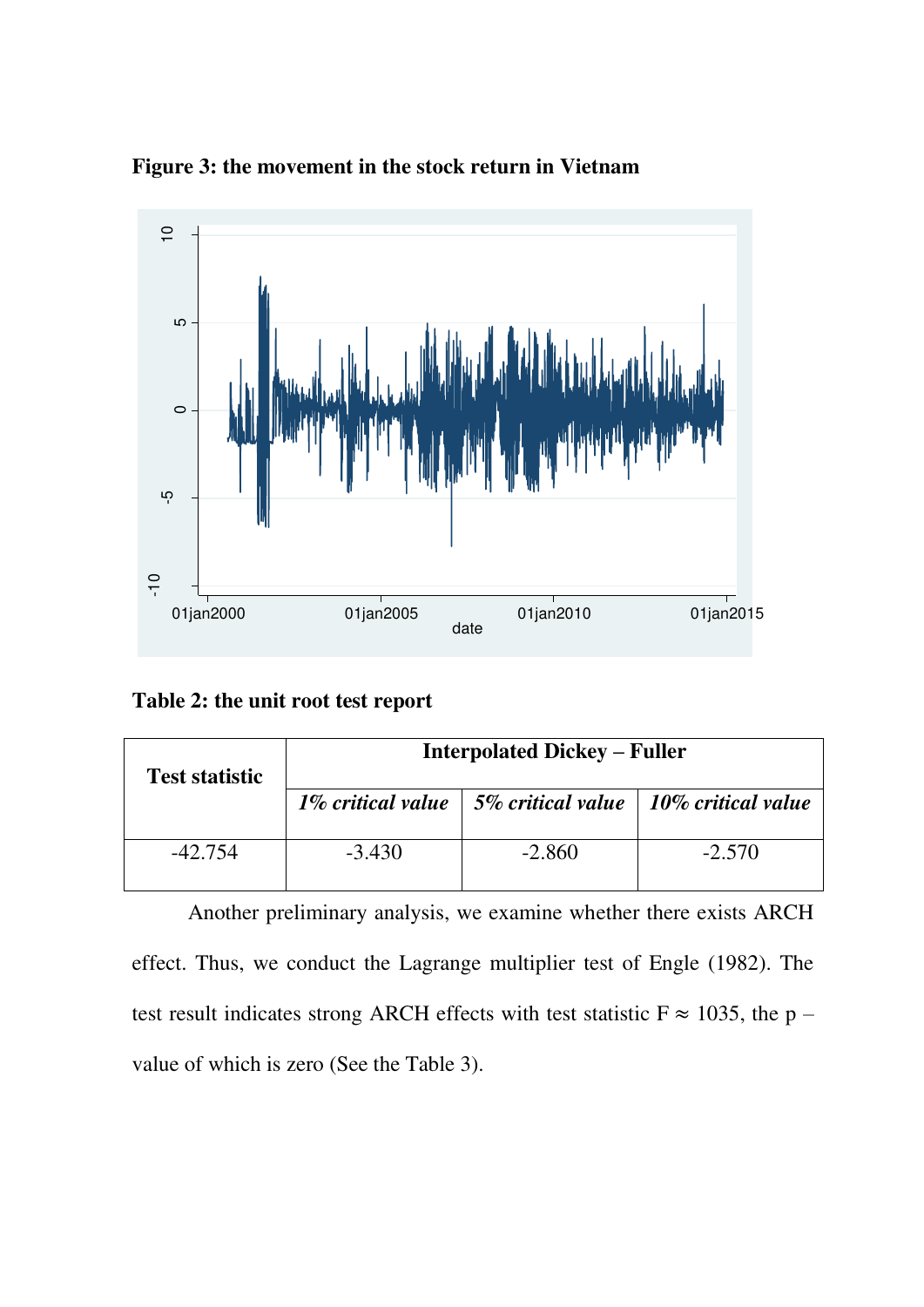

**Figure 3: the movement in the stock return in Vietnam** 

**Table 2: the unit root test report** 

| <b>Test statistic</b> | <b>Interpolated Dickey – Fuller</b> |                                                                        |          |  |
|-----------------------|-------------------------------------|------------------------------------------------------------------------|----------|--|
|                       |                                     | 1% critical value $\vert$ 5% critical value $\vert$ 10% critical value |          |  |
| $-42.754$             | $-3.430$                            | $-2.860$                                                               | $-2.570$ |  |

Another preliminary analysis, we examine whether there exists ARCH effect. Thus, we conduct the Lagrange multiplier test of Engle (1982). The test result indicates strong ARCH effects with test statistic  $F \approx 1035$ , the p –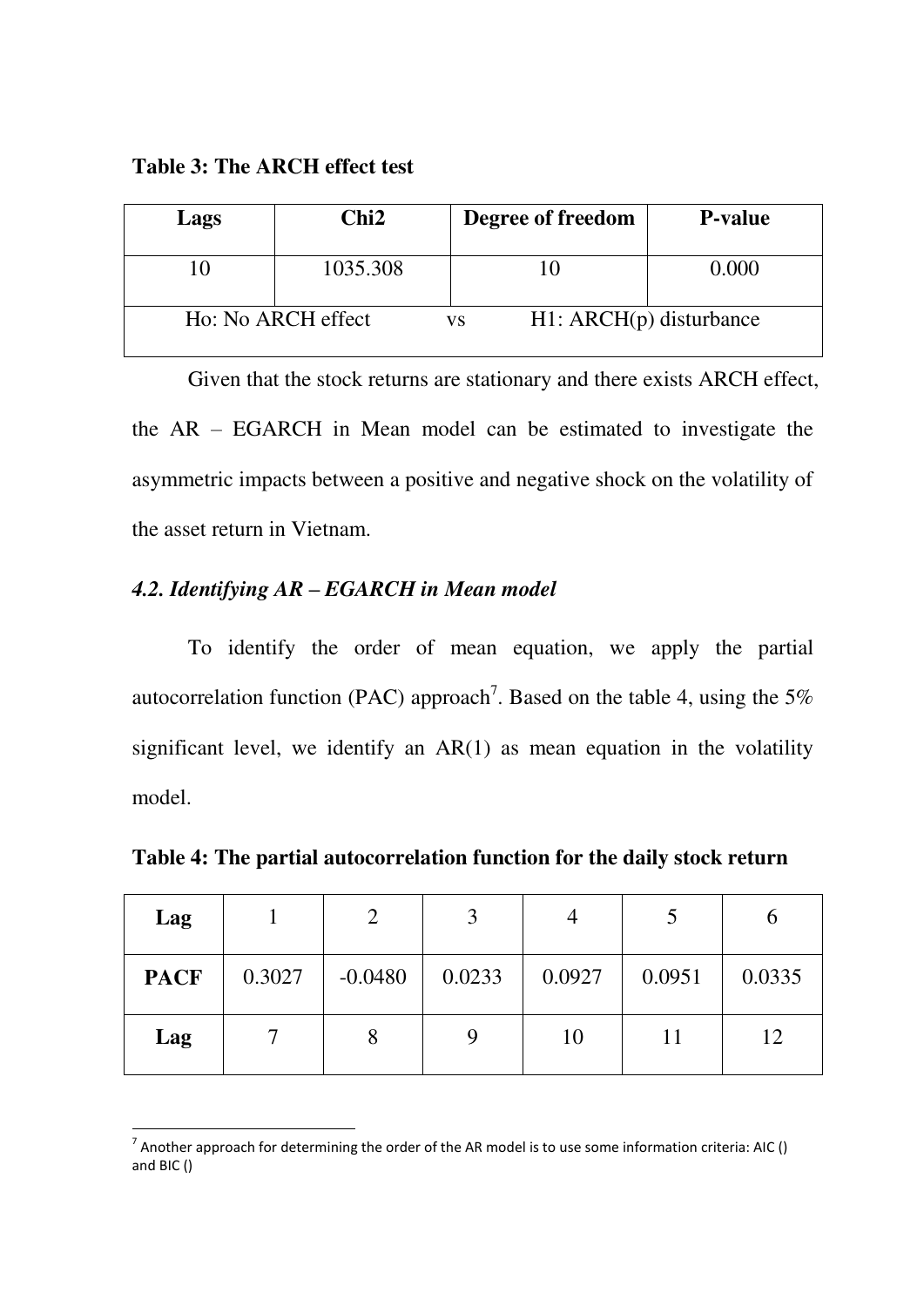**Table 3: The ARCH effect test** 

| Lags | Chi2               | Degree of freedom               | <b>P</b> -value |
|------|--------------------|---------------------------------|-----------------|
|      | 1035.308           |                                 | 0.000           |
|      | Ho: No ARCH effect | $H1: ARCH(p)$ disturbance<br>VS |                 |

Given that the stock returns are stationary and there exists ARCH effect, the AR – EGARCH in Mean model can be estimated to investigate the asymmetric impacts between a positive and negative shock on the volatility of the asset return in Vietnam.

# *4.2. Identifying AR – EGARCH in Mean model*

-

To identify the order of mean equation, we apply the partial autocorrelation function (PAC) approach<sup>7</sup>. Based on the table 4, using the 5% significant level, we identify an  $AR(1)$  as mean equation in the volatility model.

**Table 4: The partial autocorrelation function for the daily stock return** 

| Lag         |        |           | 3      |        |        |        |
|-------------|--------|-----------|--------|--------|--------|--------|
| <b>PACF</b> | 0.3027 | $-0.0480$ | 0.0233 | 0.0927 | 0.0951 | 0.0335 |
| Lag         |        |           |        | 10     |        | 12     |

<sup>&</sup>lt;sup>7</sup> Another approach for determining the order of the AR model is to use some information criteria: AIC () and BIC ()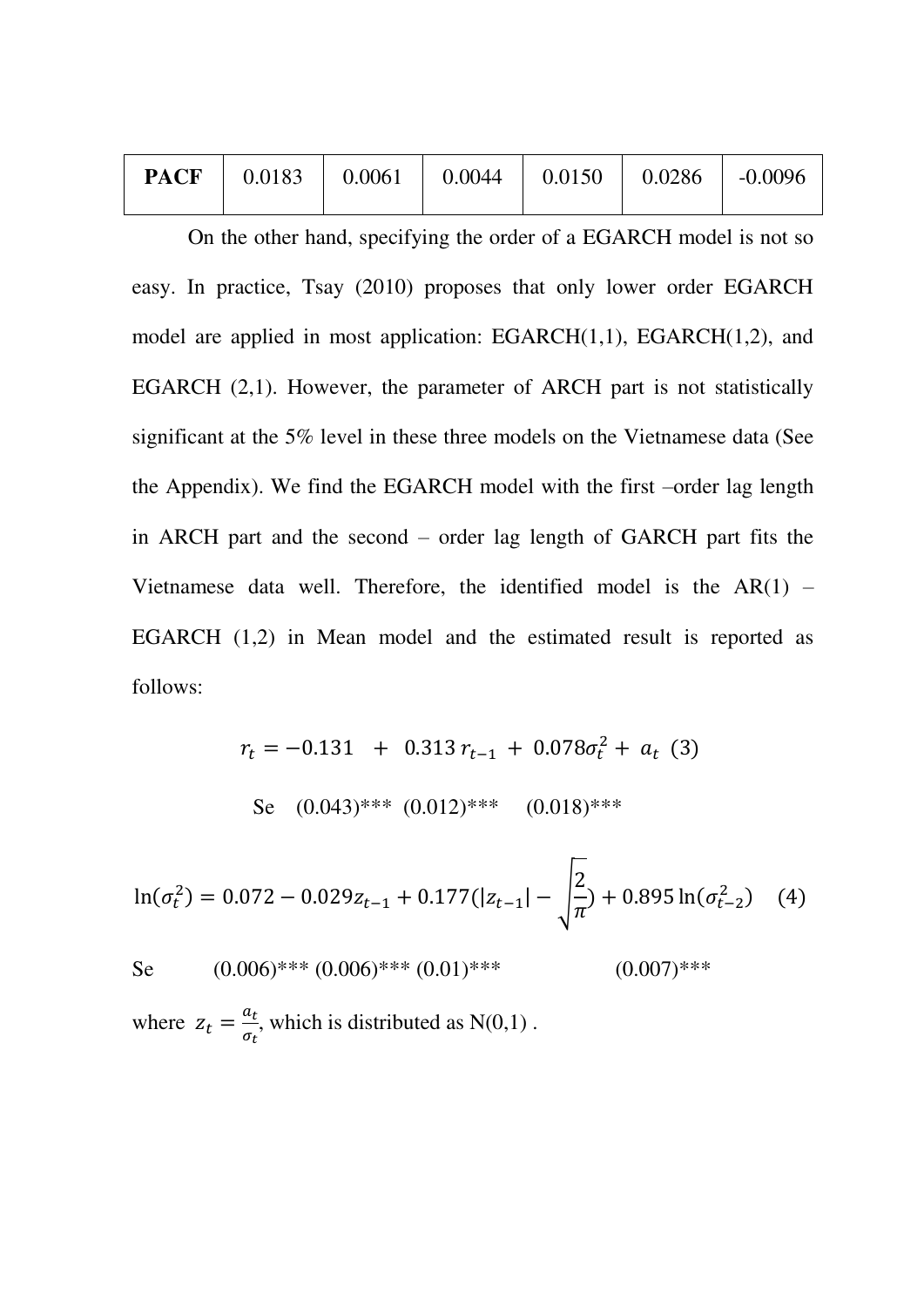|  |  |  | <b>PACF</b>   $0.0183$   $0.0061$   $0.0044$   $0.0150$   $0.0286$   $-0.0096$ |  |  |  |
|--|--|--|--------------------------------------------------------------------------------|--|--|--|
|--|--|--|--------------------------------------------------------------------------------|--|--|--|

On the other hand, specifying the order of a EGARCH model is not so easy. In practice, Tsay (2010) proposes that only lower order EGARCH model are applied in most application: EGARCH(1,1), EGARCH(1,2), and EGARCH (2,1). However, the parameter of ARCH part is not statistically significant at the 5% level in these three models on the Vietnamese data (See the Appendix). We find the EGARCH model with the first –order lag length in ARCH part and the second – order lag length of GARCH part fits the Vietnamese data well. Therefore, the identified model is the  $AR(1)$  – EGARCH (1,2) in Mean model and the estimated result is reported as follows:

$$
r_t = -0.131 + 0.313 r_{t-1} + 0.078 \sigma_t^2 + a_t
$$
 (3)  
Se (0.043)\*\*\* (0.012)\*\*\* (0.018)\*\*\*

 $\ln(\sigma_t^2) = 0.072 - 0.029z_{t-1} + 0.177(|z_{t-1}| - )$  $\overline{z}$  $\pi$ ) + 0.895  $ln(\sigma_{t-2}^2)$ 

Se  $(0.006)$ \*\*\*  $(0.006)$ \*\*\*  $(0.01)$ \*\*\*  $(0.007)$ \*\*\*

where  $z_t = \frac{a}{\tau}$  $\sigma$ , which is distributed as  $N(0,1)$ .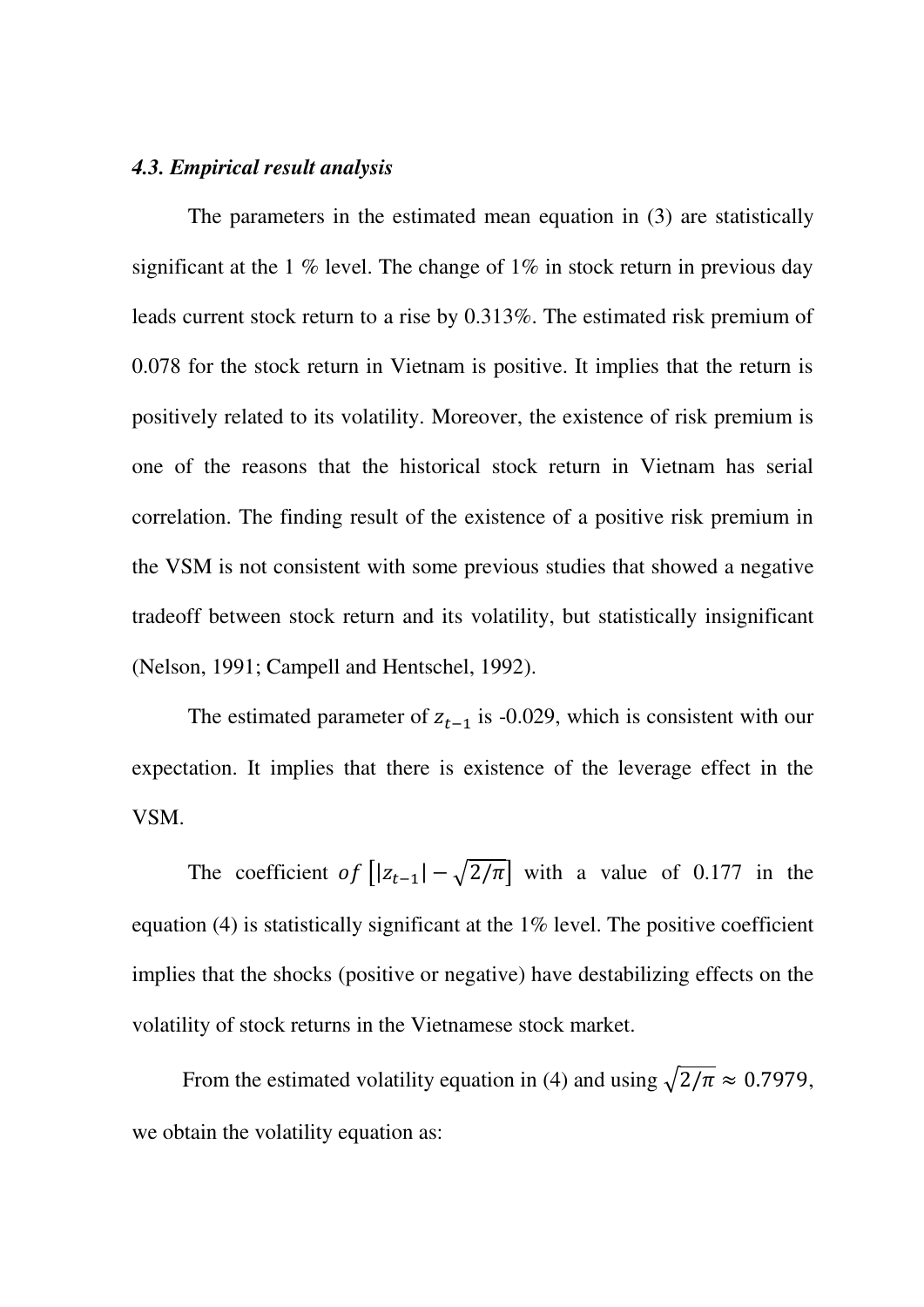#### *4.3. Empirical result analysis*

 The parameters in the estimated mean equation in (3) are statistically significant at the 1 % level. The change of  $1\%$  in stock return in previous day leads current stock return to a rise by 0.313%. The estimated risk premium of 0.078 for the stock return in Vietnam is positive. It implies that the return is positively related to its volatility. Moreover, the existence of risk premium is one of the reasons that the historical stock return in Vietnam has serial correlation. The finding result of the existence of a positive risk premium in the VSM is not consistent with some previous studies that showed a negative tradeoff between stock return and its volatility, but statistically insignificant (Nelson, 1991; Campell and Hentschel, 1992).

The estimated parameter of  $z_{t-1}$  is -0.029, which is consistent with our expectation. It implies that there is existence of the leverage effect in the VSM.

The coefficient of  $[|z_{t-1}| - \sqrt{2/\pi}]$  with a value of 0.177 in the equation (4) is statistically significant at the 1% level. The positive coefficient implies that the shocks (positive or negative) have destabilizing effects on the volatility of stock returns in the Vietnamese stock market.

From the estimated volatility equation in (4) and using  $\sqrt{2/\pi} \approx 0.7979$ , we obtain the volatility equation as: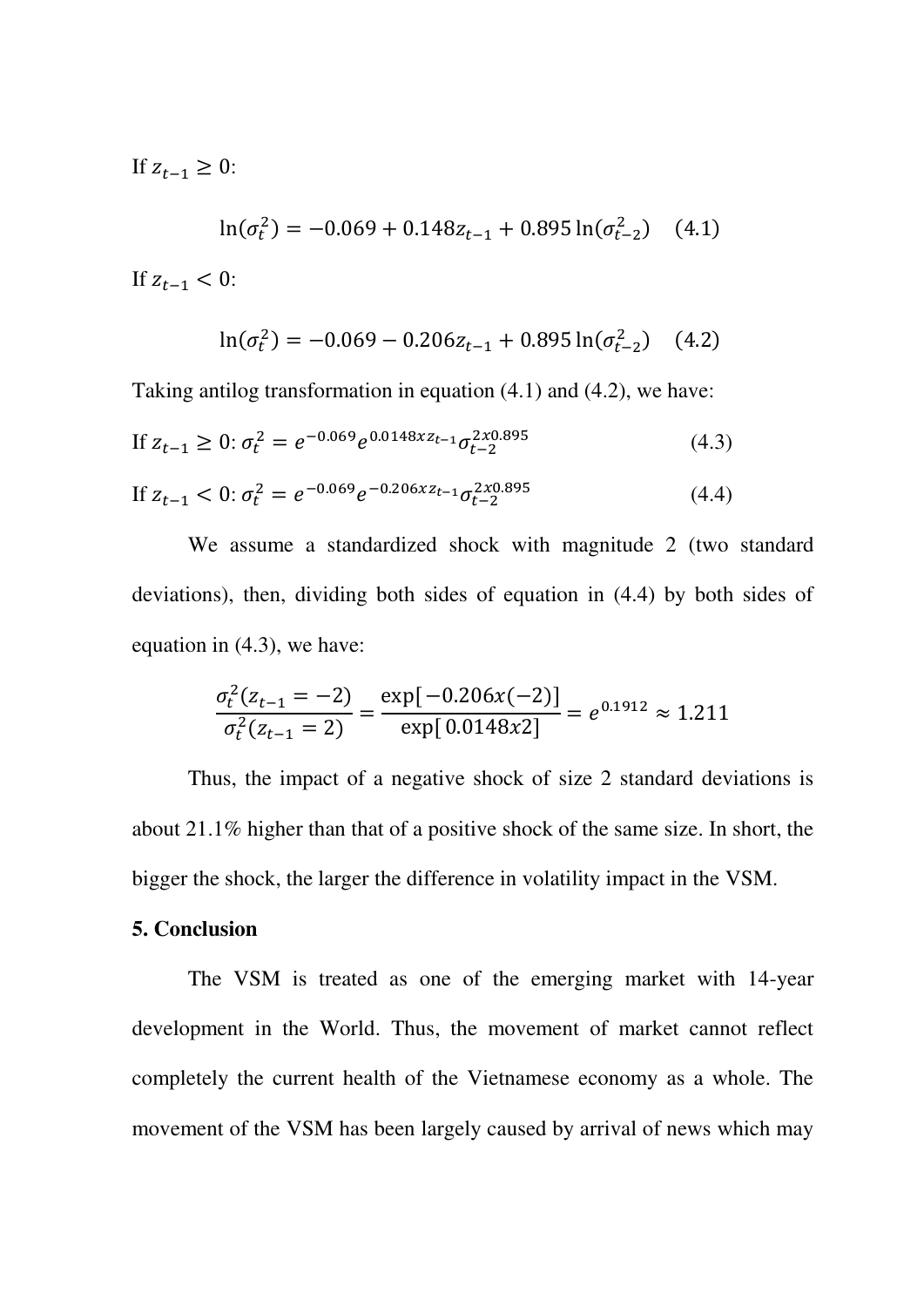If  $z_{t-1} \geq 0$ :

$$
\ln(\sigma_t^2) = -0.069 + 0.148z_{t-1} + 0.895\ln(\sigma_{t-2}^2)
$$
 (4.1)

If  $z_{t-1} < 0$ :

$$
\ln(\sigma_t^2) = -0.069 - 0.206z_{t-1} + 0.895 \ln(\sigma_{t-2}^2)
$$
 (4.2)

Taking antilog transformation in equation (4.1) and (4.2), we have:

If 
$$
z_{t-1} \ge 0
$$
:  $\sigma_t^2 = e^{-0.069} e^{0.0148xz_{t-1}} \sigma_{t-2}^{2x0.895}$  (4.3)

If 
$$
z_{t-1} < 0
$$
:  $\sigma_t^2 = e^{-0.069} e^{-0.206xz_{t-1}} \sigma_{t-2}^{2x0.895}$  (4.4)

We assume a standardized shock with magnitude 2 (two standard deviations), then, dividing both sides of equation in (4.4) by both sides of equation in (4.3), we have:

$$
\frac{\sigma_t^2(z_{t-1} = -2)}{\sigma_t^2(z_{t-1} = 2)} = \frac{\exp[-0.206x(-2)]}{\exp[0.0148x^2]} = e^{0.1912} \approx 1.211
$$

Thus, the impact of a negative shock of size 2 standard deviations is about 21.1% higher than that of a positive shock of the same size. In short, the bigger the shock, the larger the difference in volatility impact in the VSM.

#### **5. Conclusion**

 The VSM is treated as one of the emerging market with 14-year development in the World. Thus, the movement of market cannot reflect completely the current health of the Vietnamese economy as a whole. The movement of the VSM has been largely caused by arrival of news which may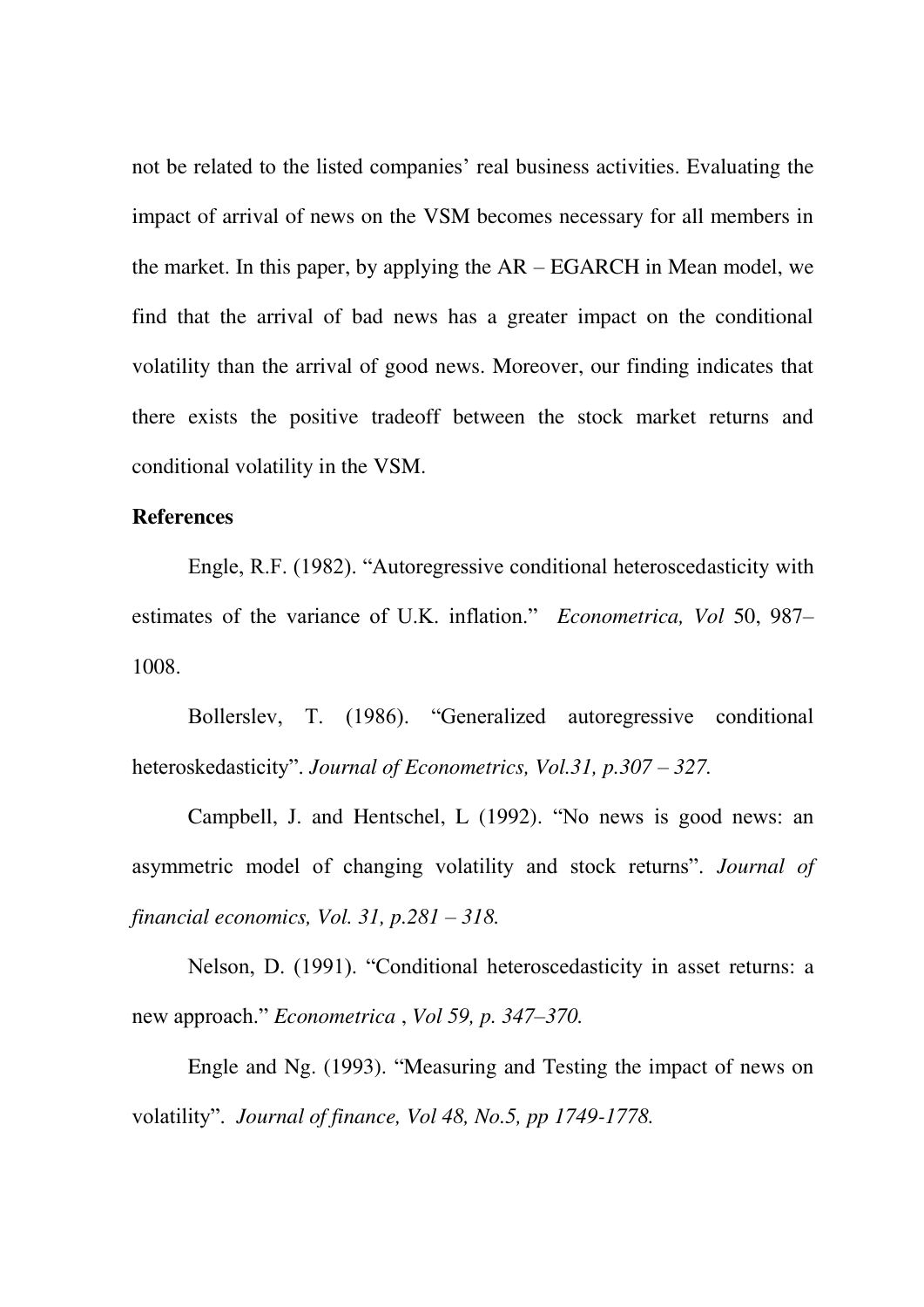not be related to the listed companies' real business activities. Evaluating the impact of arrival of news on the VSM becomes necessary for all members in the market. In this paper, by applying the AR – EGARCH in Mean model, we find that the arrival of bad news has a greater impact on the conditional volatility than the arrival of good news. Moreover, our finding indicates that there exists the positive tradeoff between the stock market returns and conditional volatility in the VSM.

#### **References**

Engle, R.F. (1982). "Autoregressive conditional heteroscedasticity with estimates of the variance of U.K. inflation." *Econometrica, Vol* 50, 987– 1008.

Bollerslev, T. (1986). "Generalized autoregressive conditional heteroskedasticity". *Journal of Econometrics, Vol.31, p.307 – 327.* 

Campbell, J. and Hentschel, L (1992). "No news is good news: an asymmetric model of changing volatility and stock returns". *Journal of financial economics, Vol. 31, p.281 – 318.* 

Nelson, D. (1991). "Conditional heteroscedasticity in asset returns: a new approach." *Econometrica* , *Vol 59, p. 347–370.* 

Engle and Ng. (1993). "Measuring and Testing the impact of news on volatility". *Journal of finance, Vol 48, No.5, pp 1749-1778.*